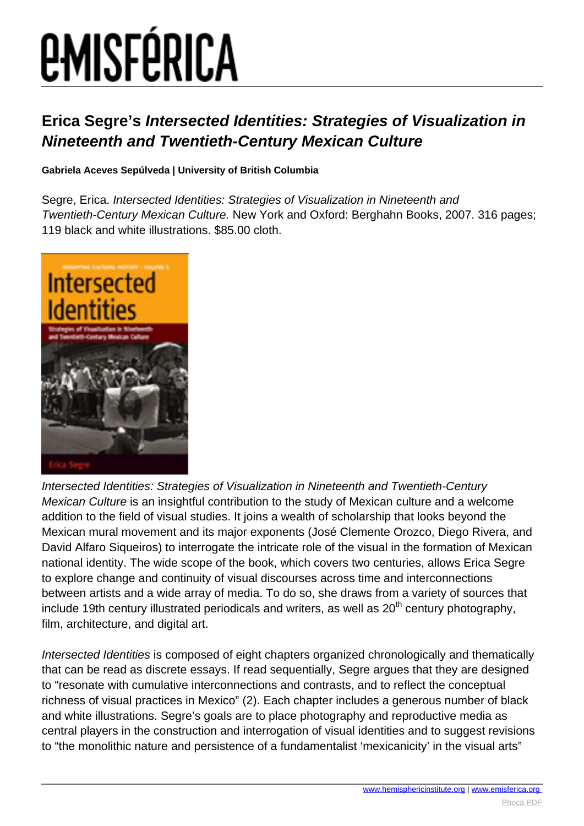# *EMISFÉRICA*

### **Erica Segre's Intersected Identities: Strategies of Visualization in Nineteenth and Twentieth-Century Mexican Culture**

#### **Gabriela Aceves Sepúlveda | University of British Columbia**

Segre, Erica. Intersected Identities: Strategies of Visualization in Nineteenth and Twentieth-Century Mexican Culture. New York and Oxford: Berghahn Books, 2007. 316 pages; 119 black and white illustrations. \$85.00 cloth.



Intersected Identities: Strategies of Visualization in Nineteenth and Twentieth-Century Mexican Culture is an insightful contribution to the study of Mexican culture and a welcome addition to the field of visual studies. It joins a wealth of scholarship that looks beyond the Mexican mural movement and its major exponents (José Clemente Orozco, Diego Rivera, and David Alfaro Siqueiros) to interrogate the intricate role of the visual in the formation of Mexican national identity. The wide scope of the book, which covers two centuries, allows Erica Segre to explore change and continuity of visual discourses across time and interconnections between artists and a wide array of media. To do so, she draws from a variety of sources that include 19th century illustrated periodicals and writers, as well as  $20<sup>th</sup>$  century photography, film, architecture, and digital art.

Intersected Identities is composed of eight chapters organized chronologically and thematically that can be read as discrete essays. If read sequentially, Segre argues that they are designed to "resonate with cumulative interconnections and contrasts, and to reflect the conceptual richness of visual practices in Mexico" (2). Each chapter includes a generous number of black and white illustrations. Segre's goals are to place photography and reproductive media as central players in the construction and interrogation of visual identities and to suggest revisions to "the monolithic nature and persistence of a fundamentalist 'mexicanicity' in the visual arts"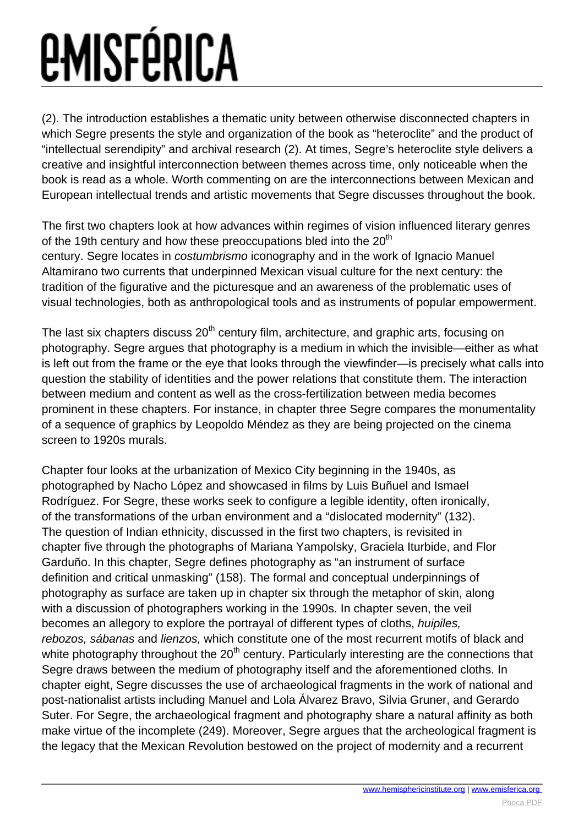## *EMISFÉRICA*

(2). The introduction establishes a thematic unity between otherwise disconnected chapters in which Segre presents the style and organization of the book as "heteroclite" and the product of "intellectual serendipity" and archival research (2). At times, Segre's heteroclite style delivers a creative and insightful interconnection between themes across time, only noticeable when the book is read as a whole. Worth commenting on are the interconnections between Mexican and European intellectual trends and artistic movements that Segre discusses throughout the book.

The first two chapters look at how advances within regimes of vision influenced literary genres of the 19th century and how these preoccupations bled into the  $20<sup>th</sup>$ century. Segre locates in costumbrismo iconography and in the work of Ignacio Manuel Altamirano two currents that underpinned Mexican visual culture for the next century: the tradition of the figurative and the picturesque and an awareness of the problematic uses of visual technologies, both as anthropological tools and as instruments of popular empowerment.

The last six chapters discuss  $20<sup>th</sup>$  century film, architecture, and graphic arts, focusing on photography. Segre argues that photography is a medium in which the invisible—either as what is left out from the frame or the eye that looks through the viewfinder—is precisely what calls into question the stability of identities and the power relations that constitute them. The interaction between medium and content as well as the cross-fertilization between media becomes prominent in these chapters. For instance, in chapter three Segre compares the monumentality of a sequence of graphics by Leopoldo Méndez as they are being projected on the cinema screen to 1920s murals.

Chapter four looks at the urbanization of Mexico City beginning in the 1940s, as photographed by Nacho López and showcased in films by Luis Buñuel and Ismael Rodríguez. For Segre, these works seek to configure a legible identity, often ironically, of the transformations of the urban environment and a "dislocated modernity" (132). The question of Indian ethnicity, discussed in the first two chapters, is revisited in chapter five through the photographs of Mariana Yampolsky, Graciela Iturbide, and Flor Garduño. In this chapter, Segre defines photography as "an instrument of surface definition and critical unmasking" (158). The formal and conceptual underpinnings of photography as surface are taken up in chapter six through the metaphor of skin, along with a discussion of photographers working in the 1990s. In chapter seven, the veil becomes an allegory to explore the portrayal of different types of cloths, huipiles, rebozos, sábanas and lienzos, which constitute one of the most recurrent motifs of black and white photography throughout the  $20<sup>th</sup>$  century. Particularly interesting are the connections that Segre draws between the medium of photography itself and the aforementioned cloths. In chapter eight, Segre discusses the use of archaeological fragments in the work of national and post-nationalist artists including Manuel and Lola Álvarez Bravo, Silvia Gruner, and Gerardo Suter. For Segre, the archaeological fragment and photography share a natural affinity as both make virtue of the incomplete (249). Moreover, Segre argues that the archeological fragment is the legacy that the Mexican Revolution bestowed on the project of modernity and a recurrent